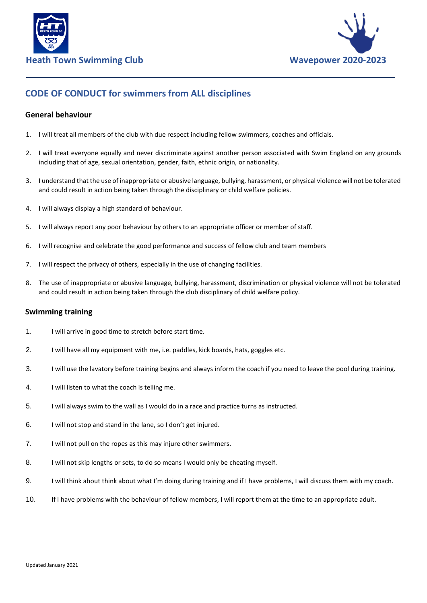



## **CODE OF CONDUCT for swimmers from ALL disciplines**

## **General behaviour**

- 1. I will treat all members of the club with due respect including fellow swimmers, coaches and officials.
- 2. I will treat everyone equally and never discriminate against another person associated with Swim England on any grounds including that of age, sexual orientation, gender, faith, ethnic origin, or nationality.
- 3. I understand that the use of inappropriate or abusive language, bullying, harassment, or physical violence will not be tolerated and could result in action being taken through the disciplinary or child welfare policies.
- 4. I will always display a high standard of behaviour.
- 5. I will always report any poor behaviour by others to an appropriate officer or member of staff.
- 6. I will recognise and celebrate the good performance and success of fellow club and team members
- 7. I will respect the privacy of others, especially in the use of changing facilities.
- 8. The use of inappropriate or abusive language, bullying, harassment, discrimination or physical violence will not be tolerated and could result in action being taken through the club disciplinary of child welfare policy.

## **Swimming training**

- 1. I will arrive in good time to stretch before start time.
- 2. I will have all my equipment with me, i.e. paddles, kick boards, hats, goggles etc.
- 3. I will use the lavatory before training begins and always inform the coach if you need to leave the pool during training.
- 4. I will listen to what the coach is telling me.
- 5. I will always swim to the wall as I would do in a race and practice turns as instructed.
- 6. I will not stop and stand in the lane, so I don't get injured.
- 7. I will not pull on the ropes as this may injure other swimmers.
- 8. I will not skip lengths or sets, to do so means I would only be cheating myself.
- 9. I will think about think about what I'm doing during training and if I have problems, I will discuss them with my coach.
- 10. If I have problems with the behaviour of fellow members, I will report them at the time to an appropriate adult.